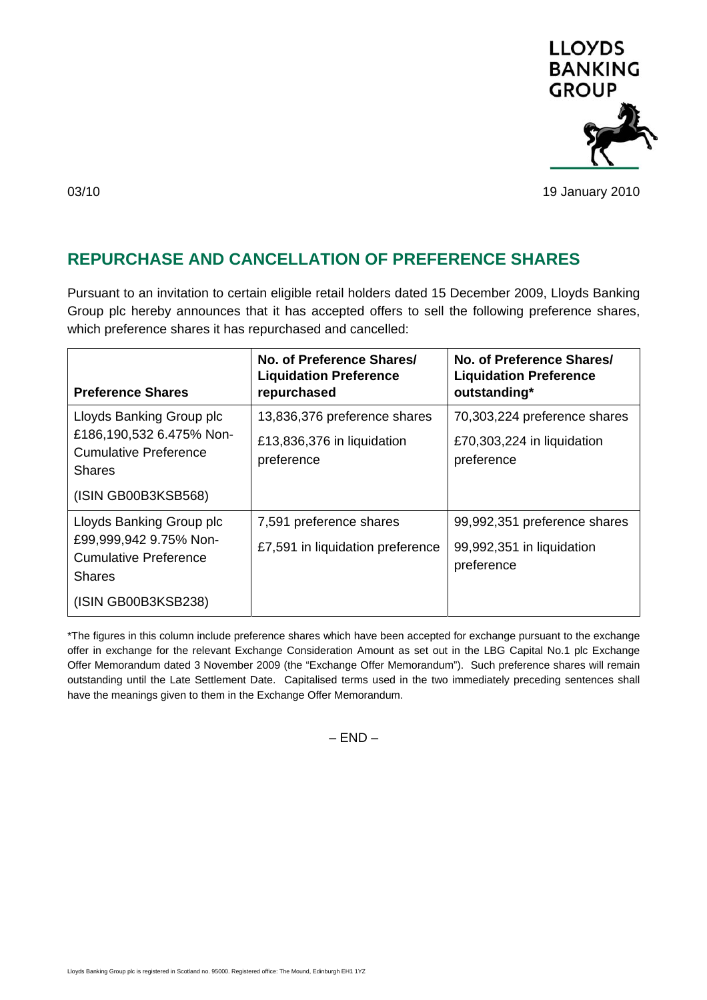

03/10 19 January 2010

## **REPURCHASE AND CANCELLATION OF PREFERENCE SHARES**

Pursuant to an invitation to certain eligible retail holders dated 15 December 2009, Lloyds Banking Group plc hereby announces that it has accepted offers to sell the following preference shares, which preference shares it has repurchased and cancelled:

| <b>Preference Shares</b>                                                                              | No. of Preference Shares/<br><b>Liquidation Preference</b><br>repurchased | No. of Preference Shares/<br><b>Liquidation Preference</b><br>outstanding* |
|-------------------------------------------------------------------------------------------------------|---------------------------------------------------------------------------|----------------------------------------------------------------------------|
| Lloyds Banking Group plc<br>£186,190,532 6.475% Non-<br><b>Cumulative Preference</b><br><b>Shares</b> | 13,836,376 preference shares<br>£13,836,376 in liquidation<br>preference  | 70,303,224 preference shares<br>£70,303,224 in liquidation<br>preference   |
| (ISIN GB00B3KSB568)                                                                                   |                                                                           |                                                                            |
| Lloyds Banking Group plc<br>£99,999,942 9.75% Non-<br><b>Cumulative Preference</b><br><b>Shares</b>   | 7,591 preference shares<br>£7,591 in liquidation preference               | 99,992,351 preference shares<br>99,992,351 in liquidation<br>preference    |
| (ISIN GB00B3KSB238)                                                                                   |                                                                           |                                                                            |

\*The figures in this column include preference shares which have been accepted for exchange pursuant to the exchange offer in exchange for the relevant Exchange Consideration Amount as set out in the LBG Capital No.1 plc Exchange Offer Memorandum dated 3 November 2009 (the "Exchange Offer Memorandum"). Such preference shares will remain outstanding until the Late Settlement Date. Capitalised terms used in the two immediately preceding sentences shall have the meanings given to them in the Exchange Offer Memorandum.

 $-$  FND  $-$